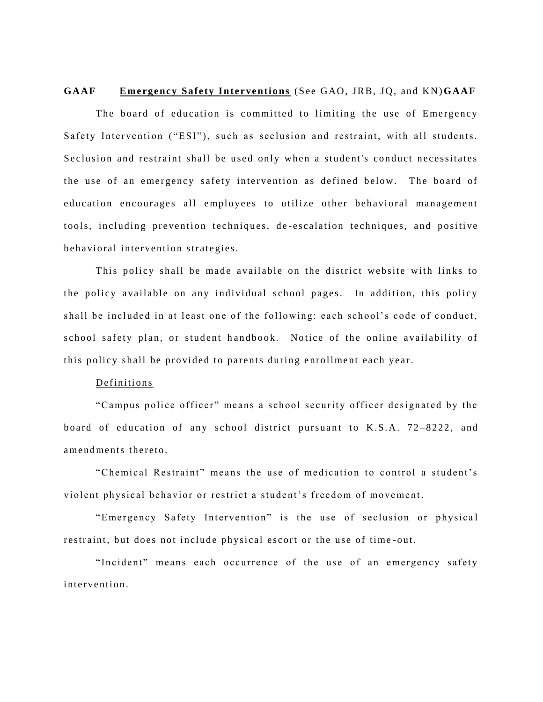**GAAF Emergency Safety Interventions** (See GAO, JRB, JQ, and KN) GAAF

The board of education is committed to limiting the use of Emergency Safety Intervention ("ESI"), such as seclusion and restraint, with all students. Seclusion and restraint shall be used only when a student's conduct necessitates the use of an emergency safety intervention as defined below. The board of education encourages all employees to utilize other behavioral management tools, including prevention techniques, de-escalation techniques, and positive behavioral intervention strategies.

This policy shall be made available on the district website with links to the policy available on any individual school pages. In addition, this policy shall be included in at least one of the following: each school's code of conduct, school safety plan, or student handbook. Notice of the online availability of this policy shall be provided to parents during enrollment each year.

## Definitions

"Campus police officer" means a school security officer designated by the board of education of any school district pursuant to K.S.A. 72-8222, and amendments thereto.

"Chemical Restraint" means the use of medication to control a student's violent physical behavior or restrict a student's freedom of movement.

"Emergency Safety Intervention" is the use of seclusion or physical restraint, but does not include physical escort or the use of time-out.

"Incident" means each occurrence of the use of an emergency safety intervention.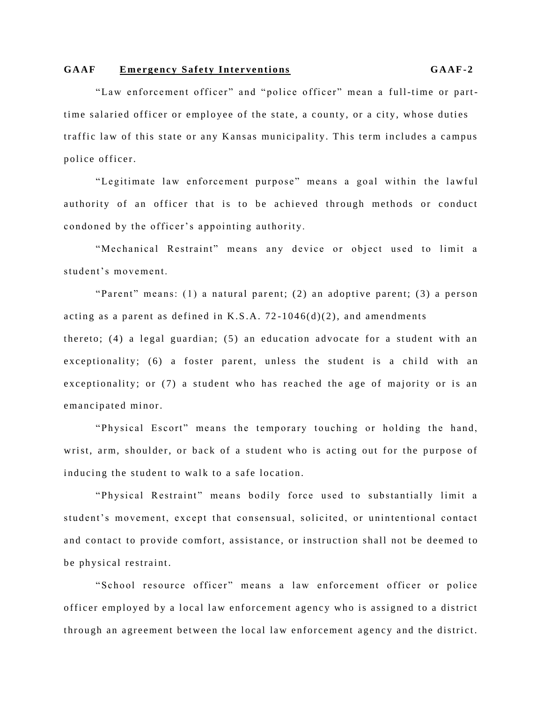"Law enforcement officer" and "police officer" mean a full-time or parttime salaried officer or employee of the state, a county, or a city, whose duties traffic law of this state or any Kansas municipality. This term includes a campus police officer.

"Legitimate law enforcement purpose" means a goal within the lawful authority of an officer that is to be achieved through methods or conduct condoned by the officer's appointing authority.

"Mechanical Restraint" means any device or object used to limit a student's movement.

"Parent" means:  $(1)$  a natural parent;  $(2)$  an adoptive parent;  $(3)$  a person acting as a parent as defined in K.S.A.  $72-1046(d)(2)$ , and amendments thereto; (4) a legal guardian; (5) an education advocate for a student with an exceptionality; (6) a foster parent, unless the student is a child with an exceptionality; or (7) a student who has reached the age of majority or is an emancipated minor.

"Physical Escort" means the temporary touching or holding the hand, wrist, arm, shoulder, or back of a student who is acting out for the purpose of inducing the student to walk to a safe location.

"Physical Restraint" means bodily force used to substantially limit a student's movement, except that consensual, solicited, or unintentional contact and contact to provide comfort, assistance, or instruction shall not be deemed to be physical restraint.

"School resource officer" means a law enforcement officer or police officer employed by a local law enforcement agency who is assigned to a district through an agreement between the local law enforcement agency and the district.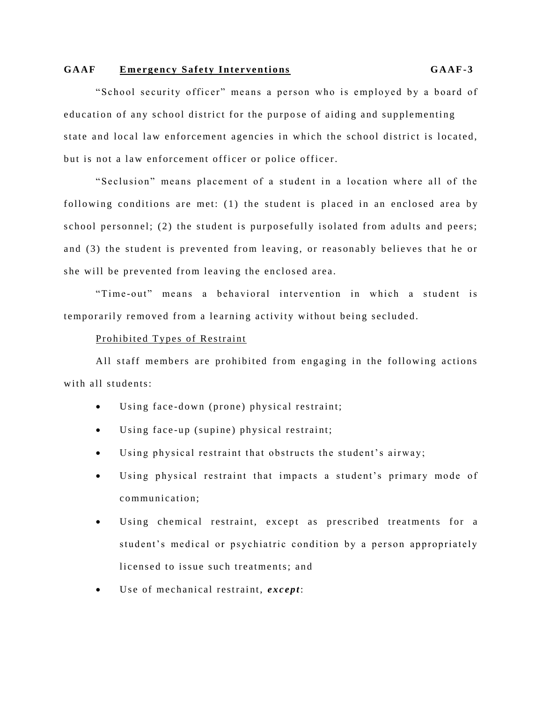## **GA AF E me rge nc y S af ety In te rve nti o ns GA AF-3**

"School security officer" means a person who is employed by a board of education of any school district for the purpose of aiding and supplementing state and local law enforcement agencies in which the school district is located, but is not a law enforcement officer or police officer.

"Seclusion" means placement of a student in a location where all of the following conditions are met:  $(1)$  the student is placed in an enclosed area by school personnel; (2) the student is purposefully isolated from adults and peers; and (3) the student is prevented from leaving, or reasonably believes that he or she will be prevented from leaving the enclosed area.

"Time-out" means a behavioral intervention in which a student is temporarily removed from a learning activity without being secluded.

### Prohibited Types of Restraint

All staff members are prohibited from engaging in the following actions with all students:

- Using face-down (prone) physical restraint;
- $\bullet$  Using face-up (supine) physical restraint;
- Using physical restraint that obstructs the student's airway;
- Using physical restraint that impacts a student's primary mode of communication:
- Using chemical restraint, except as prescribed treatments for a student's medical or psychiatric condition by a person appropriately licensed to issue such treatments; and
- $\bullet$  Use of mechanical restraint, *except*: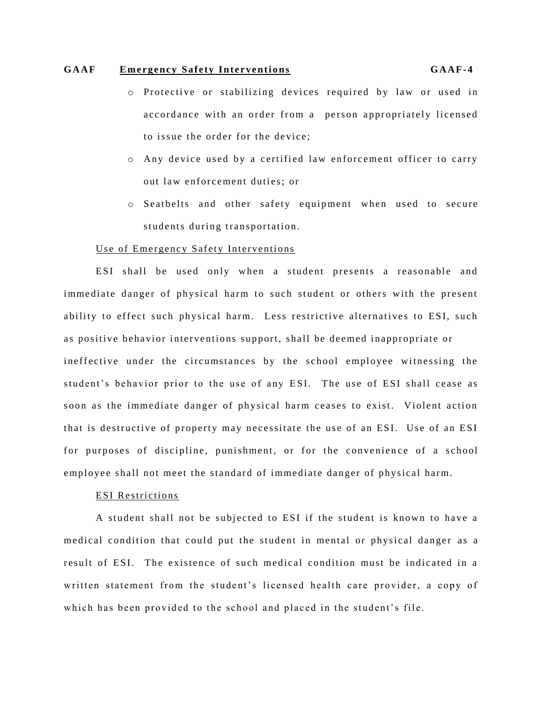- o Protective or stabilizing devices required by law or used in accordance with an order from a person appropriately licensed to issue the order for the device:
- o Any device used by a certified law enforcement officer to carry out law enforcement duties: or
- o Seatbelts and other safety equipment when used to secure students during transportation.

### Use of Emergency Safety Interventions

ESI shall be used only when a student presents a reasonable and immediate danger of physical harm to such student or others with the present ability to effect such physical harm. Less restrictive alternatives to ESI, such as positive behavior interventions support, shall be deemed inappropriate or ineffective under the circumstances by the school employee witnessing the student's behavior prior to the use of any ESI. The use of ESI shall cease as soon as the immediate danger of physical harm ceases to exist. Violent action that is destructive of property may necessitate the use of an ESI. Use of an ESI for purposes of discipline, punishment, or for the convenience of a school employee shall not meet the standard of immediate danger of physical harm.

### **ESI** Restrictions

A student shall not be subjected to ESI if the student is known to have a medical condition that could put the student in mental or physical danger as a result of ESI. The existence of such medical condition must be indicated in a written statement from the student's licensed health care provider, a copy of which has been provided to the school and placed in the student's file.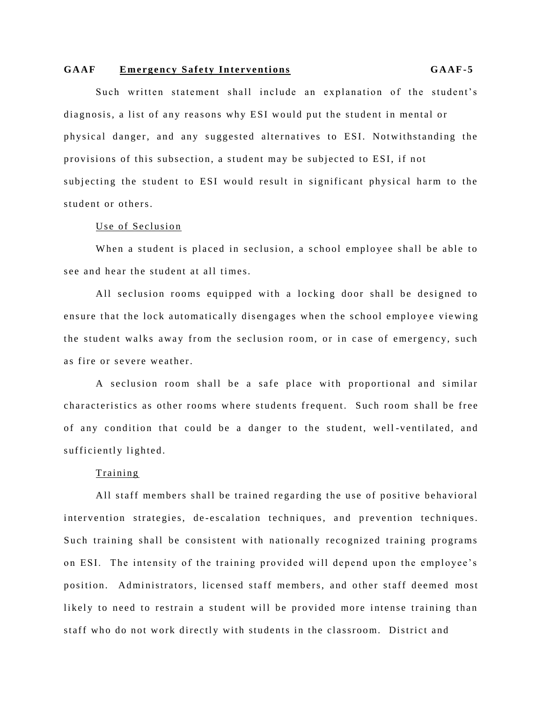Such written statement shall include an explanation of the student's diagnosis, a list of any reasons why ESI would put the student in mental or physical danger, and any suggested alternatives to ESI. Notwithstanding the provisions of this subsection, a student may be subjected to ESI, if not subjecting the student to ESI would result in significant physical harm to the student or others.

#### Use of Seclusion

When a student is placed in seclusion, a school employee shall be able to see and hear the student at all times.

All seclusion rooms equipped with a locking door shall be designed to ensure that the lock automatically disengages when the school employee viewing the student walks away from the seclusion room, or in case of emergency, such as fire or severe weather.

A seclusion room shall be a safe place with proportional and similar characteristics as other rooms where students frequent. Such room shall be free of any condition that could be a danger to the student, well-ventilated, and sufficiently lighted.

## Training

All staff members shall be trained regarding the use of positive behavioral intervention strategies, de-escalation techniques, and prevention techniques. Such training shall be consistent with nationally recognized training programs on ESI. The intensity of the training provided will depend upon the employee's position. Administrators, licensed staff members, and other staff deemed most likely to need to restrain a student will be provided more intense training than staff who do not work directly with students in the classroom. District and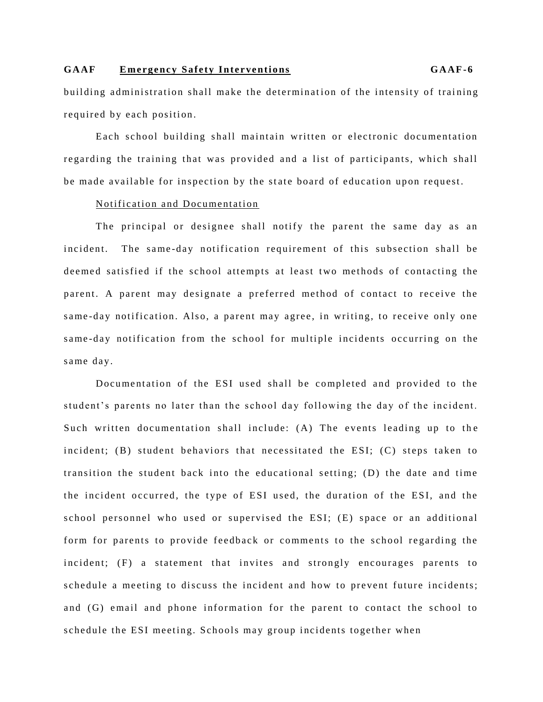building administration shall make the determination of the intensity of training required by each position.

Each school building shall maintain written or electronic documentation regarding the training that was provided and a list of participants, which shall be made available for inspection by the state board of education upon request.

## Notification and Documentation

The principal or designee shall notify the parent the same day as an incident. The same-day notification requirement of this subsection shall be deemed satisfied if the school attempts at least two methods of contacting the parent. A parent may designate a preferred method of contact to receive the same-day notification. Also, a parent may agree, in writing, to receive only one same-day notification from the school for multiple incidents occurring on the same day.

Documentation of the ESI used shall be completed and provided to the student's parents no later than the school day following the day of the incident. Such written documentation shall include: (A) The events leading up to the incident;  $(B)$  student behaviors that necessitated the ESI;  $(C)$  steps taken to transition the student back into the educational setting;  $(D)$  the date and time the incident occurred, the type of ESI used, the duration of the ESI, and the school personnel who used or supervised the ESI; (E) space or an additional form for parents to provide feedback or comments to the school regarding the incident; (F) a statement that invites and strongly encourages parents to schedule a meeting to discuss the incident and how to prevent future incidents; and (G) email and phone information for the parent to contact the school to schedule the ESI meeting. Schools may group incidents together when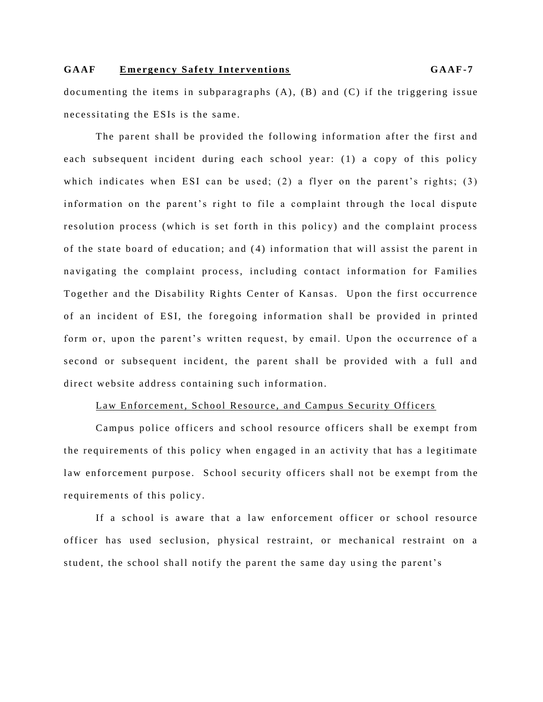documenting the items in subparagraphs  $(A)$ ,  $(B)$  and  $(C)$  if the triggering issue necessitating the ESIs is the same.

The parent shall be provided the following information after the first and each subsequent incident during each school year: (1) a copy of this policy which indicates when ESI can be used; (2) a flyer on the parent's rights; (3) information on the parent's right to file a complaint through the local dispute resolution process (which is set forth in this policy) and the complaint process of the state board of education; and (4) information that will assist the parent in navigating the complaint process, including contact information for Families Together and the Disability Rights Center of Kansas. Upon the first occurrence of an incident of ESI, the foregoing information shall be provided in printed form or, upon the parent's written request, by email. Upon the occurrence of a second or subsequent incident, the parent shall be provided with a full and direct website address containing such information.

## Law Enforcement, School Resource, and Campus Security Officers

Campus police officers and school resource officers shall be exempt from the requirements of this policy when engaged in an activity that has a legitimate law enforcement purpose. School security officers shall not be exempt from the requirements of this policy.

If a school is aware that a law enforcement officer or school resource officer has used seclusion, physical restraint, or mechanical restraint on a student, the school shall notify the parent the same day using the parent's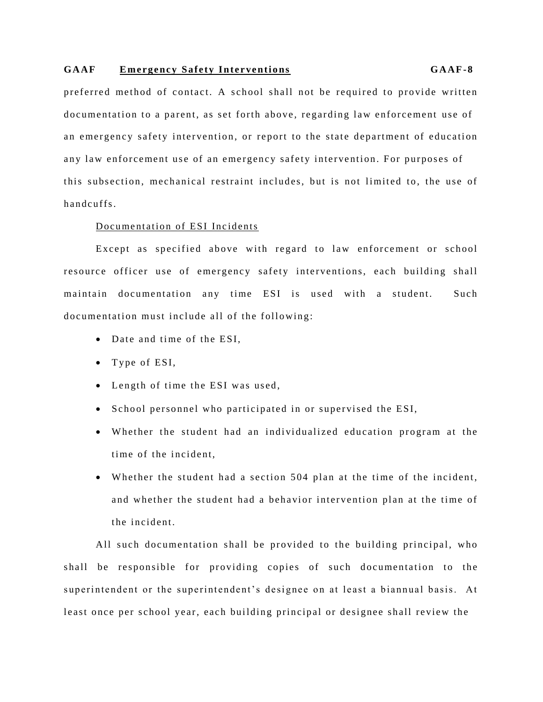preferred method of contact. A school shall not be required to provide written documentation to a parent, as set forth above, regarding law enforcement use of an emergency safety intervention, or report to the state department of education any law enforcement use of an emergency safety intervention. For purposes of this subsection, mechanical restraint includes, but is not limited to, the use of handcuffs.

### Documentation of ESI Incidents

Except as specified above with regard to law enforcement or school resource officer use of emergency safety interventions, each building shall maintain documentation any time ESI is used with a student. Such documentation must include all of the following:

- Date and time of the ESI.
- $\bullet$  Type of ESI,
- Length of time the ESI was used,
- School personnel who participated in or supervised the ESI,
- Whether the student had an individualized education program at the time of the incident.
- Whether the student had a section 504 plan at the time of the incident, and whether the student had a behavior intervention plan at the time of the incident.

All such documentation shall be provided to the building principal, who shall be responsible for providing copies of such documentation to the superintendent or the superintendent's designee on at least a biannual basis. At least once per school year, each building principal or designee shall review the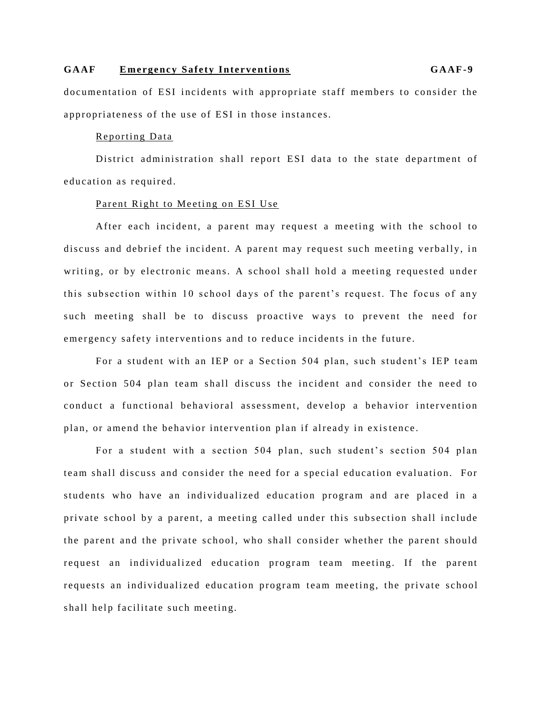documentation of ESI incidents with appropriate staff members to consider the appropriateness of the use of ESI in those instances.

## Reporting Data

District administration shall report ESI data to the state department of education as required.

## Parent Right to Meeting on ESI Use

After each incident, a parent may request a meeting with the school to discuss and debrief the incident. A parent may request such meeting verbally, in writing, or by electronic means. A school shall hold a meeting requested under this subsection within 10 school days of the parent's request. The focus of any such meeting shall be to discuss proactive ways to prevent the need for emergency safety interventions and to reduce incidents in the future.

For a student with an IEP or a Section 504 plan, such student's IEP team or Section 504 plan team shall discuss the incident and consider the need to conduct a functional behavioral assessment, develop a behavior intervention plan, or amend the behavior intervention plan if already in existence.

For a student with a section 504 plan, such student's section 504 plan team shall discuss and consider the need for a special education evaluation. For students who have an individualized education program and are placed in a private school by a parent, a meeting called under this subsection shall include the parent and the private school, who shall consider whether the parent should request an individualized education program team meeting. If the parent requests an individualized education program team meeting, the private school shall help facilitate such meeting.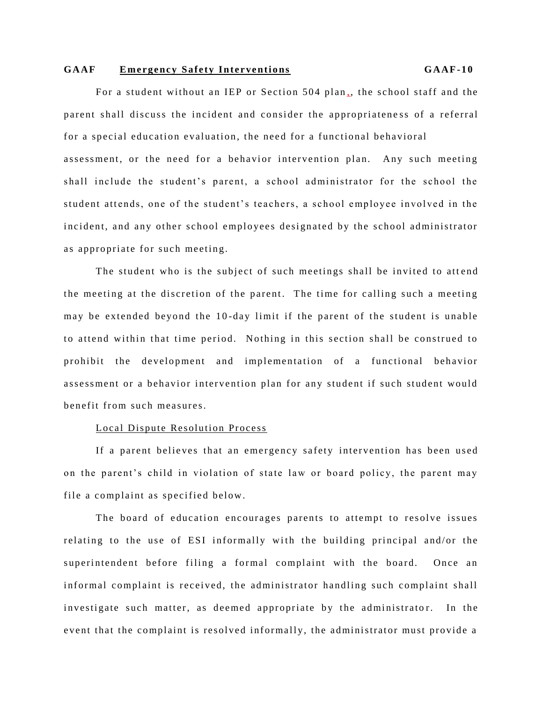For a student without an IEP or Section 504 plan,, the school staff and the parent shall discuss the incident and consider the appropriateness of a referral for a special education evaluation, the need for a functional behavioral assessment, or the need for a behavior intervention plan. Any such meeting shall include the student's parent, a school administrator for the school the student attends, one of the student's teachers, a school employee involved in the incident, and any other school employees designated by the school administrator as appropriate for such meeting.

The student who is the subject of such meetings shall be invited to attend the meeting at the discretion of the parent. The time for calling such a meeting may be extended beyond the 10-day limit if the parent of the student is unable to attend within that time period. Nothing in this section shall be construed to prohibit the development and implementation of a functional behavior assessment or a behavior intervention plan for any student if such student would benefit from such measures

#### Local Dispute Resolution Process

If a parent believes that an emergency safety intervention has been used on the parent's child in violation of state law or board policy, the parent may file a complaint as specified below.

The board of education encourages parents to attempt to resolve issues relating to the use of ESI informally with the building principal and/or the superintendent before filing a formal complaint with the board. Once an informal complaint is received, the administrator handling such complaint shall investigate such matter, as deemed appropriate by the administrator. In the event that the complaint is resolved informally, the administrator must provide a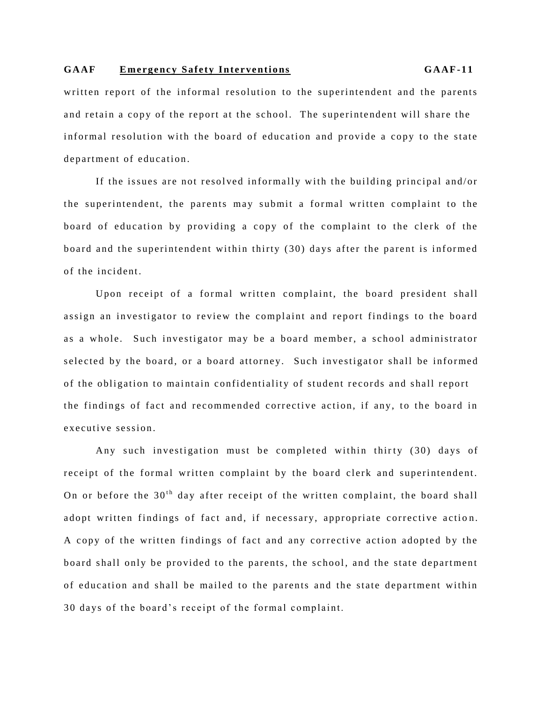written report of the informal resolution to the superintendent and the parents and retain a copy of the report at the school. The superintendent will share the informal resolution with the board of education and provide a copy to the state department of education.

If the issues are not resolved informally with the building principal and/or the superintendent, the parents may submit a formal written complaint to the board of education by providing a copy of the complaint to the clerk of the board and the superintendent within thirty (30) days after the parent is informed of the incident.

Upon receipt of a formal written complaint, the board president shall assign an investigator to review the complaint and report findings to the board as a whole. Such investigator may be a board member, a school administrator selected by the board, or a board attorney. Such investigator shall be informed of the obligation to maintain confidentiality of student records and shall report the findings of fact and recommended corrective action, if any, to the board in executive session.

Any such investigation must be completed within thirty (30) days of receipt of the formal written complaint by the board clerk and superintendent. On or before the  $30<sup>th</sup>$  day after receipt of the written complaint, the board shall adopt written findings of fact and, if necessary, appropriate corrective action. A copy of the written findings of fact and any corrective action adopted by the board shall only be provided to the parents, the school, and the state department of education and shall be mailed to the parents and the state department within 30 days of the board's receipt of the formal complaint.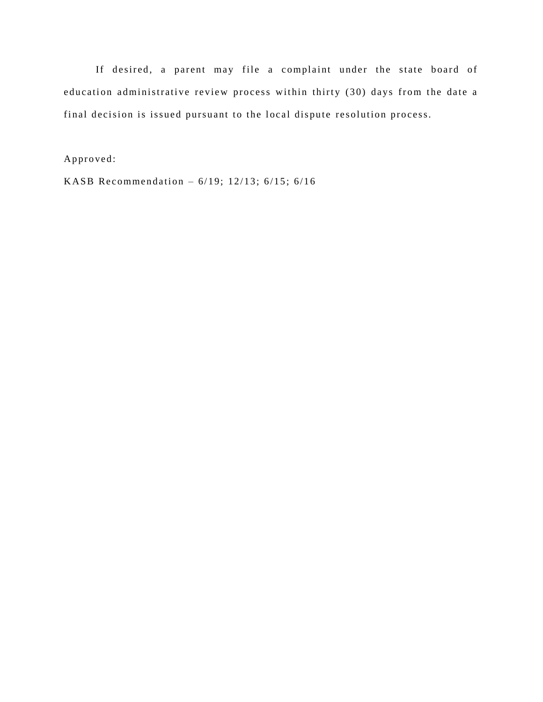If desired, a parent may file a complaint under the state board of education administrative review process within thirty (30) days from the date a final decision is issued pursuant to the local dispute resolution process.

Approved:

KASB Recommendation -  $6/19$ ; 12/13;  $6/15$ ;  $6/16$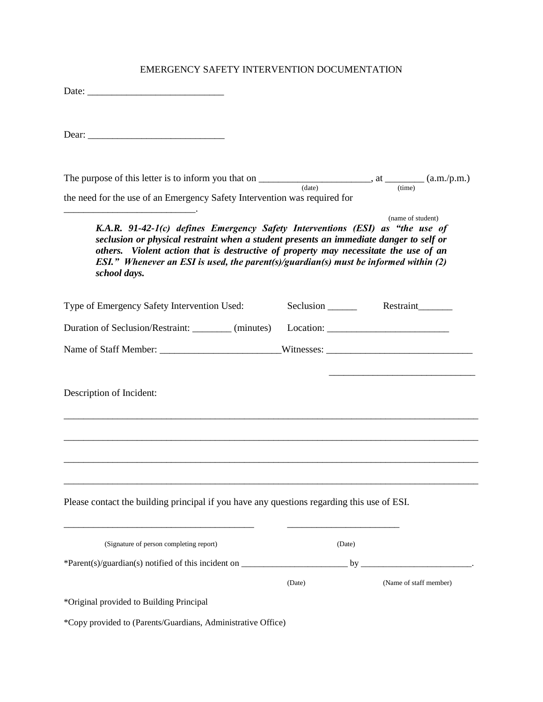## EMERGENCY SAFETY INTERVENTION DOCUMENTATION

| Date: |  |  |  |
|-------|--|--|--|
|       |  |  |  |

Dear: \_\_\_\_\_\_\_\_\_\_\_\_\_\_\_\_\_\_\_\_\_\_\_\_\_\_\_\_

| The purpose of this letter is to inform you that on                       |        | (a.m./p.m.) |
|---------------------------------------------------------------------------|--------|-------------|
|                                                                           | (date) | (time)      |
| the need for the use of an Emergency Safety Intervention was required for |        |             |
|                                                                           |        |             |

 (name of student) *K.A.R. 91-42-1(c) defines Emergency Safety Interventions (ESI) as "the use of seclusion or physical restraint when a student presents an immediate danger to self or others. Violent action that is destructive of property may necessitate the use of an ESI." Whenever an ESI is used, the parent(s)/guardian(s) must be informed within (2) school days.*

| Type of Emergency Safety Intervention Used:                                                                                                                                                                                                   |        |                                                                                                                                                                                                                                                                                                                                                                                                                                                                                                                                                                      |
|-----------------------------------------------------------------------------------------------------------------------------------------------------------------------------------------------------------------------------------------------|--------|----------------------------------------------------------------------------------------------------------------------------------------------------------------------------------------------------------------------------------------------------------------------------------------------------------------------------------------------------------------------------------------------------------------------------------------------------------------------------------------------------------------------------------------------------------------------|
| Duration of Seclusion/Restraint: _________ (minutes)                                                                                                                                                                                          |        | $\text{Location:}\n \underline{\hspace{2cm}}\n \underline{\hspace{2cm}}\n \underline{\hspace{2cm}}\n \underline{\hspace{2cm}}\n \underline{\hspace{2cm}}\n \underline{\hspace{2cm}}\n \underline{\hspace{2cm}}\n \underline{\hspace{2cm}}\n \underline{\hspace{2cm}}\n \underline{\hspace{2cm}}\n \underline{\hspace{2cm}}\n \underline{\hspace{2cm}}\n \underline{\hspace{2cm}}\n \underline{\hspace{2cm}}\n \underline{\hspace{2cm}}\n \underline{\hspace{2cm}}\n \underline{\hspace{2cm}}\n \underline{\hspace{2cm}}\n \underline{\hspace{2cm}}\n \underline{\hs$ |
|                                                                                                                                                                                                                                               |        |                                                                                                                                                                                                                                                                                                                                                                                                                                                                                                                                                                      |
| Description of Incident:                                                                                                                                                                                                                      |        | <u> 1989 - Johann Barbara, margaret eta idazlea (h. 1989).</u>                                                                                                                                                                                                                                                                                                                                                                                                                                                                                                       |
|                                                                                                                                                                                                                                               |        |                                                                                                                                                                                                                                                                                                                                                                                                                                                                                                                                                                      |
| <u> 1989 - Johann Barn, amerikan bernama di sebagai bernama di sebagai bernama di sebagai bernama di sebagai bern</u><br><u> 1989 - Johann Barn, mars et al. 1989 - Anna anno 1989 - Anna ann an t-Amhain ann an t-Amhain ann an t-Amhain</u> |        |                                                                                                                                                                                                                                                                                                                                                                                                                                                                                                                                                                      |
| Please contact the building principal if you have any questions regarding this use of ESI.                                                                                                                                                    |        |                                                                                                                                                                                                                                                                                                                                                                                                                                                                                                                                                                      |
| (Signature of person completing report)                                                                                                                                                                                                       |        | (Date)                                                                                                                                                                                                                                                                                                                                                                                                                                                                                                                                                               |
|                                                                                                                                                                                                                                               |        |                                                                                                                                                                                                                                                                                                                                                                                                                                                                                                                                                                      |
|                                                                                                                                                                                                                                               | (Date) | (Name of staff member)                                                                                                                                                                                                                                                                                                                                                                                                                                                                                                                                               |
| *Original provided to Building Principal                                                                                                                                                                                                      |        |                                                                                                                                                                                                                                                                                                                                                                                                                                                                                                                                                                      |
| *Copy provided to (Parents/Guardians, Administrative Office)                                                                                                                                                                                  |        |                                                                                                                                                                                                                                                                                                                                                                                                                                                                                                                                                                      |